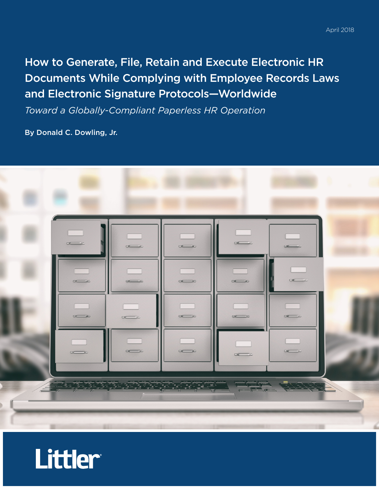# How to Generate, File, Retain and Execute Electronic HR Documents While Complying with Employee Records Laws and Electronic Signature Protocols—Worldwide

*Toward a Globally-Compliant Paperless HR Operation*

By Donald C. Dowling, Jr.



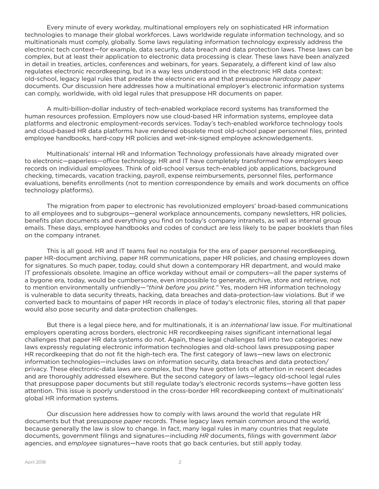Every minute of every workday, multinational employers rely on sophisticated HR information technologies to manage their global workforces. Laws worldwide regulate information technology, and so multinationals must comply, globally. Some laws regulating information technology expressly address the electronic tech context—for example, data security, data breach and data protection laws. These laws can be complex, but at least their application to electronic data processing is clear. These laws have been analyzed in detail in treaties, articles, conferences and webinars, for years. Separately, a different kind of law also regulates electronic recordkeeping, but in a way less understood in the electronic HR data context: old-school, legacy legal rules that predate the electronic era and that presuppose *hardcopy paper* documents. Our discussion here addresses how a multinational employer's electronic information systems can comply, worldwide, with old legal rules that presuppose HR documents on paper.

A multi-billion-dollar industry of tech-enabled workplace record systems has transformed the human resources profession. Employers now use cloud-based HR information systems, employee data platforms and electronic employment-records services. Today's tech-enabled workforce technology tools and cloud-based HR data platforms have rendered obsolete most old-school paper personnel files, printed employee handbooks, hard-copy HR policies and wet-ink-signed employee acknowledgements.

Multinationals' internal HR and Information Technology professionals have already migrated over to electronic—paperless—office technology. HR and IT have completely transformed how employers keep records on individual employees. Think of old-school versus tech-enabled job applications, background checking, timecards, vacation tracking, payroll, expense reimbursements, personnel files, performance evaluations, benefits enrollments (not to mention correspondence by emails and work documents on office technology platforms).

The migration from paper to electronic has revolutionized employers' broad-based communications to all employees and to subgroups—general workplace announcements, company newsletters, HR policies, benefits plan documents and everything you find on today's company intranets, as well as internal group emails. These days, employee handbooks and codes of conduct are less likely to be paper booklets than files on the company intranet.

This is all good. HR and IT teams feel no nostalgia for the era of paper personnel recordkeeping, paper HR-document archiving, paper HR communications, paper HR policies, and chasing employees down for signatures. So much paper, today, could shut down a contemporary HR department, and would make IT professionals obsolete. Imagine an office workday without email or computers—all the paper systems of a bygone era, today, would be cumbersome, even impossible to generate, archive, store and retrieve, not to mention environmentally unfriendly—*"think before you print."* Yes, modern HR information technology is vulnerable to data security threats, hacking, data breaches and data-protection-law violations. But if we converted back to mountains of paper HR records in place of today's electronic files, storing all that paper would also pose security and data-protection challenges.

But there is a legal piece here, and for multinationals, it is an *international* law issue. For multinational employers operating across borders, electronic HR recordkeeping raises significant international legal challenges that paper HR data systems do not. Again, these legal challenges fall into two categories: new laws expressly regulating electronic information technologies and old-school laws presupposing paper HR recordkeeping that do not fit the high-tech era. The first category of laws—new laws on electronic information technologies—includes laws on information security, data breaches and data protection/ privacy. These electronic-data laws are complex, but they have gotten lots of attention in recent decades and are thoroughly addressed elsewhere. But the second category of laws—legacy old-school legal rules that presuppose paper documents but still regulate today's electronic records systems—have gotten less attention. This issue is poorly understood in the cross-border HR recordkeeping context of multinationals' global HR information systems.

Our discussion here addresses how to comply with laws around the world that regulate HR documents but that presuppose *paper* records. These legacy laws remain common around the world, because generally the law is slow to change. In fact, many legal rules in many countries that regulate documents, government filings and signatures—including *HR* documents, filings with government *labor* agencies, and *employee* signatures—have roots that go back centuries, but still apply today.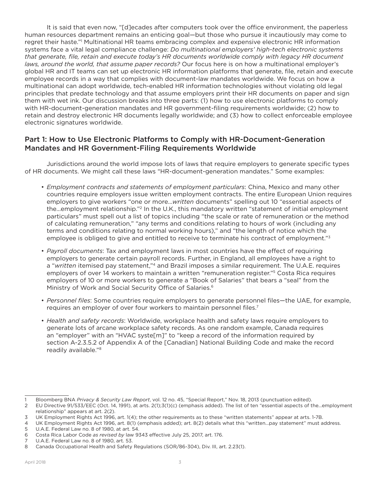It is said that even now, "[d]ecades after computers took over the office environment, the paperless human resources department remains an enticing goal—but those who pursue it incautiously may come to regret their haste."1 Multinational HR teams embracing complex and expensive electronic HR information systems face a vital legal compliance challenge: *Do multinational employers' high-tech electronic systems that generate, file, retain and execute today's HR documents worldwide comply with legacy HR document laws, around the world, that assume paper records?* Our focus here is on how a multinational employer's global HR and IT teams can set up electronic HR information platforms that generate, file, retain and execute employee records in a way that complies with document-law mandates worldwide. We focus on how a multinational can adopt worldwide, tech-enabled HR information technologies without violating old legal principles that predate technology and that assume employers print their HR documents on paper and sign them with wet ink. Our discussion breaks into three parts: (1) how to use electronic platforms to comply with HR-document-generation mandates and HR government-filing requirements worldwide; (2) how to retain and destroy electronic HR documents legally worldwide; and (3) how to collect enforceable employee electronic signatures worldwide.

## Part 1: How to Use Electronic Platforms to Comply with HR-Document-Generation Mandates and HR Government-Filing Requirements Worldwide

Jurisdictions around the world impose lots of laws that require employers to generate specific types of HR documents. We might call these laws "HR-document-generation mandates." Some examples:

- *Employment contracts and statements of employment particulars*: China, Mexico and many other countries require employers issue written employment contracts. The entire European Union requires employers to give workers "one or more…*written* documents" spelling out 10 "essential aspects of the…employment relationship."2 In the U.K., this mandatory written "statement of initial employment particulars" must spell out a list of topics including "the scale or rate of remuneration or the method of calculating remuneration," "any terms and conditions relating to hours of work (including any terms and conditions relating to normal working hours)," and "the length of notice which the employee is obliged to give and entitled to receive to terminate his contract of employment."<sup>3</sup>
- *Payroll documents*: Tax and employment laws in most countries have the effect of requiring employers to generate certain payroll records. Further, in England, all employees have a right to a "*written* itemised pay statement,"4 and Brazil imposes a similar requirement. The U.A.E. requires employers of over 14 workers to maintain a written "remuneration register."<sup>5</sup> Costa Rica requires employers of 10 or more workers to generate a "Book of Salaries" that bears a "seal" from the Ministry of Work and Social Security Office of Salaries.<sup>6</sup>
- *Personnel files*: Some countries require employers to generate personnel files—the UAE, for example, requires an employer of over four workers to maintain personnel files.<sup>7</sup>
- *Health and safety records*: Worldwide, workplace health and safety laws require employers to generate lots of arcane workplace safety records. As one random example, Canada requires an "employer" with an "HVAC syste[m]" to "keep a record of the information required by section A-2.3.5.2 of Appendix A of the [Canadian] National Building Code and make the record readily available."8

<sup>1</sup> Bloomberg BNA *Privacy & Security Law Report*, vol. 12 no. 45, "Special Report," Nov. 18, 2013 (punctuation edited).

<sup>2</sup> EU Directive 91/533/EEC (Oct. 14, 1991), at arts. 2(1);3(1)(c) (emphasis added). The list of ten "essential aspects of the…employment relationship" appears at art. 2(2).

<sup>3</sup> UK Employment Rights Act 1996, art. 1(4); the other requirements as to these "written statements" appear at arts. 1-7B.

<sup>4</sup> UK Employment Rights Act 1996, art. 8(1) (emphasis added); art. 8(2) details what this "written…pay statement" must address.

<sup>5</sup> U.A.E. Federal Law no. 8 of 1980, at art. 54.

<sup>6</sup> Costa Rica Labor Code *as revised by* law 9343 effective July 25, 2017, art. 176.

<sup>7</sup> U.A.E. Federal Law no. 8 of 1980, art. 53.

<sup>8</sup> Canada Occupational Health and Safety Regulations (SOR/86-304), Div. III, art. 2.23(1).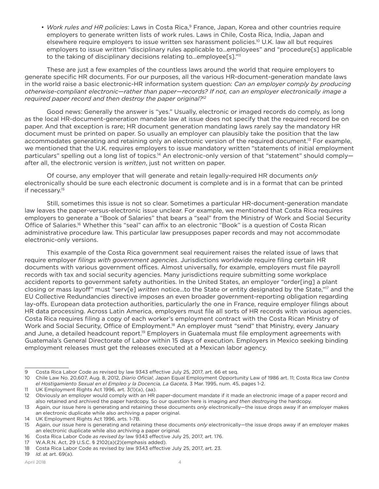• *Work rules and HR policies*: Laws in Costa Rica,<sup>9</sup> France, Japan, Korea and other countries require employers to generate written lists of work rules. Laws in Chile, Costa Rica, India, Japan and elsewhere require employers to issue written sex harassment policies.<sup>10</sup> U.K. law all but requires employers to issue written "disciplinary rules applicable to…employees" and "procedure[s] applicable to the taking of disciplinary decisions relating to...employee[s]."<sup>11</sup>

These are just a few examples of the countless laws around the world that require employers to generate specific HR documents. For our purposes, all the various HR-document-generation mandate laws in the world raise a basic electronic-HR information system question: *Can an employer comply by producing otherwise-compliant electronic—rather than paper—records? If not, can an employer electronically image a required paper record and then destroy the paper original?12*

Good news: Generally the answer is "yes." Usually, electronic or imaged records do comply, as long as the local HR-document-generation mandate law at issue does not specify that the required record be on paper. And that exception is rare; HR document generation mandating laws rarely say the mandatory HR document must be printed on paper. So usually an employer can plausibly take the position that the law accommodates generating and retaining only an electronic version of the required document.<sup>13</sup> For example, we mentioned that the U.K. requires employers to issue mandatory written "statements of initial employment particulars" spelling out a long list of topics.<sup>14</sup> An electronic-only version of that "statement" should complyafter all, the electronic version is *written*, just not written on paper.

Of course, any employer that will generate and retain legally-required HR documents *only* electronically should be sure each electronic document is complete and is in a format that can be printed if necessary.<sup>15</sup>

Still, sometimes this issue is not so clear. Sometimes a particular HR-document-generation mandate law leaves the paper-versus-electronic issue unclear. For example, we mentioned that Costa Rica requires employers to generate a "Book of Salaries" that bears a "seal" from the Ministry of Work and Social Security Office of Salaries.<sup>16</sup> Whether this "seal" can affix to an electronic "Book" is a question of Costa Rican administrative procedure law. This particular law presupposes paper records and may not accommodate electronic-only versions.

This example of the Costa Rica government seal requirement raises the related issue of laws that require employer *filings with government agencies*. Jurisdictions worldwide require filing certain HR documents with various government offices. Almost universally, for example, employers must file payroll records with tax and social security agencies. Many jurisdictions require submitting some workplace accident reports to government safety authorities. In the United States, an employer "order[ing] a plant closing or mass layoff" must "serv[e] *written* notice…to the State or entity designated by the State,"17 and the EU Collective Redundancies directive imposes an even broader government-reporting obligation regarding lay-offs. European data protection authorities, particularly the one in France, require employer filings about HR data processing. Across Latin America, employers must file all sorts of HR records with various agencies. Costa Rica requires filing a copy of each worker's employment contract with the Costa Rican Ministry of Work and Social Security, Office of Employment.<sup>18</sup> An employer must "send" that Ministry, every January and June, a detailed headcount report.<sup>19</sup> Employers in Guatemala must file employment agreements with Guatemala's General Directorate of Labor within 15 days of execution. Employers in Mexico seeking binding employment releases must get the releases executed at a Mexican labor agency.

<sup>9</sup> Costa Rica Labor Code as revised by law 9343 effective July 25, 2017, art. 66 et seq.

<sup>10</sup> Chile Law No. 20,607, Aug. 8, 2012, *Diario Oficial*; Japan Equal Employment Opportunity Law of 1986 art. 11; Costa Rica law *Contra el Hostigamiento Sexual en el Empleo y la Docencia, La Gaceta*, 3 Mar. 1995, num. 45, pages 1-2.

<sup>11</sup> UK Employment Rights Act 1996, art. 3(1)(a), (aa).

<sup>12</sup> Obviously an employer would comply with an HR paper-document mandate if it made an electronic image of a paper record and also retained and archived the paper hardcopy. So our question here is imaging *and then destroying* the hardcopy.

<sup>13</sup> Again, our issue here is generating and retaining these documents *only* electronically—the issue drops away if an employer makes an electronic duplicate while also archiving a paper original.

<sup>14</sup> UK Employment Rights Act 1996, arts. 1-7B.

<sup>15</sup> Again, our issue here is generating and retaining these documents *only* electronically—the issue drops away if an employer makes an electronic duplicate while also archiving a paper original.

<sup>16</sup> Costa Rica Labor Code *as revised by* law 9343 effective July 25, 2017, art. 176.

<sup>17</sup> W.A.R.N. Act, 29 U.S.C. § 2102(a)(2)(emphasis added).

<sup>18</sup> Costa Rica Labor Code as revised by law 9343 effective July 25, 2017, art. 23.

<sup>19</sup> *Id.* at art. 69(a).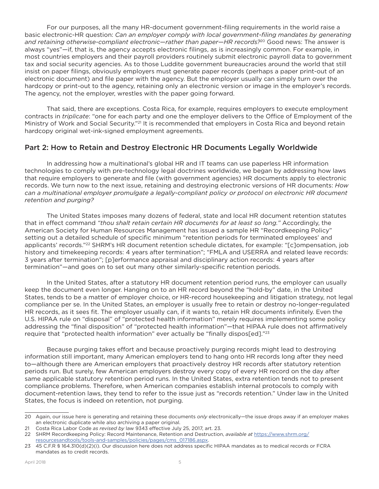For our purposes, all the many HR-document government-filing requirements in the world raise a basic electronic-HR question: *Can an employer comply with local government-filing mandates by generating and retaining otherwise-compliant electronic—rather than paper—HR records?*20 Good news: The answer is always "yes"—if, that is, the agency accepts electronic filings, as is increasingly common. For example, in most countries employers and their payroll providers routinely submit electronic payroll data to government tax and social security agencies. As to those Luddite government bureaucracies around the world that still insist on paper filings, obviously employers must generate paper records (perhaps a paper print-out of an electronic document) and file paper with the agency. But the employer usually can simply turn over the hardcopy or print-out to the agency, retaining only an electronic version or image in the employer's records. The agency, not the employer, wrestles with the paper going forward.

That said, there are exceptions. Costa Rica, for example, requires employers to execute employment contracts in *triplicate*: "one for each party and one the employer delivers to the Office of Employment of the Ministry of Work and Social Security."<sup>21</sup> It is recommended that employers in Costa Rica and beyond retain hardcopy original wet-ink-signed employment agreements.

## Part 2: How to Retain and Destroy Electronic HR Documents Legally Worldwide

In addressing how a multinational's global HR and IT teams can use paperless HR information technologies to comply with pre-technology legal doctrines worldwide, we began by addressing how laws that require employers to generate and file (with government agencies) HR documents apply to electronic records. We turn now to the next issue, retaining and destroying electronic versions of HR documents: *How can a multinational employer promulgate a legally-compliant policy or protocol on electronic HR document retention and purging?*

The United States imposes many dozens of federal, state and local HR document retention statutes that in effect command *"thou shalt retain certain HR documents for at least so long."* Accordingly, the American Society for Human Resources Management has issued a sample HR "Recordkeeping Policy" setting out a detailed schedule of specific minimum "retention periods for terminated employees' and applicants' records."<sup>22</sup> SHRM's HR document retention schedule dictates, for example: "[c]ompensation, job history and timekeeping records: 4 years after termination"; "FMLA and USERRA and related leave records: 3 years after termination"; [p]erformance appraisal and disciplinary action records: 4 years after termination"—and goes on to set out many other similarly-specific retention periods.

In the United States, after a statutory HR document retention period runs, the employer can usually keep the document even longer. Hanging on to an HR record beyond the "hold-by" date, in the United States, tends to be a matter of employer choice, or HR-record housekeeping and litigation strategy, not legal compliance per se. In the United States, an employer is usually free to retain or destroy no-longer-regulated HR records, as it sees fit. The employer usually can, if it wants to, retain HR documents infinitely. Even the U.S. HIPAA rule on "disposal" of "protected health information" merely requires implementing some policy addressing the "final disposition" of "protected health information"—that HIPAA rule does not affirmatively require that "protected health information" ever actually be "finally dispos[ed]."<sup>23</sup>

Because purging takes effort and because proactively purging records might lead to destroying information still important, many American employers tend to hang onto HR records long after they need to—although there are American employers that proactively destroy HR records after statutory retention periods run. But surely, few American employers destroy every copy of every HR record on the day after same applicable statutory retention period runs. In the United States, extra retention tends not to present compliance problems. Therefore, when American companies establish internal protocols to comply with document-retention laws, they tend to refer to the issue just as "records retention." Under law in the United States, the focus is indeed on retention, not purging.

<sup>20</sup> Again, our issue here is generating and retaining these documents *only* electronically—the issue drops away if an employer makes an electronic duplicate while also archiving a paper original.

<sup>21</sup> Costa Rica Labor Code *as revised by* law 9343 effective July 25, 2017, art. 23.

<sup>22</sup> SHRM Recordkeeping Policy: Record Maintenance, Retention and Destruction, *available at* https://www.shrm.org/ resourcesandtools/tools-and-samples/policies/pages/cms\_017186.aspx.

<sup>23</sup> 45 C.F.R § 164.310(d)(2)(i). Our discussion here does not address specific HIPAA mandates as to medical records or FCRA mandates as to credit records.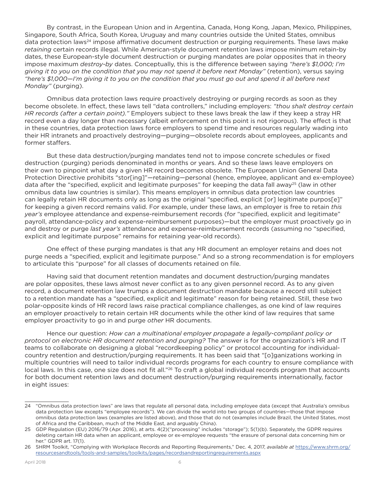By contrast, in the European Union and in Argentina, Canada, Hong Kong, Japan, Mexico, Philippines, Singapore, South Africa, South Korea, Uruguay and many countries outside the United States, omnibus data protection laws<sup>24</sup> impose affirmative document destruction or purging requirements. These laws make *retaining* certain records illegal. While American-style document retention laws impose minimum retain-by dates, these European-style document destruction or purging mandates are polar opposites that in theory impose maximum *destroy-by* dates. Conceptually, this is the difference between saying *"here's \$1,000; I'm giving it to you on the condition that you may not spend it before next Monday"* (retention), versus saying *"here's \$1,000—I'm giving it to you on the condition that you must go out and spend it all before next Monday"* (purging).

Omnibus data protection laws require proactively destroying or purging records as soon as they become obsolete. In effect, these laws tell "data controllers," including employers: *"thou shalt destroy certain HR records (after a certain point)."* Employers subject to these laws break the law if they keep a stray HR record even a day longer than necessary (albeit enforcement on this point is not rigorous). The effect is that in these countries, data protection laws force employers to spend time and resources regularly wading into their HR intranets and proactively destroying—purging—obsolete records about employees, applicants and former staffers.

But these data destruction/purging mandates tend not to impose concrete schedules or fixed destruction (purging) periods denominated in months or years. And so these laws leave employers on their own to pinpoint what day a given HR record becomes obsolete. The European Union General Data Protection Directive prohibits "stor[ing]"—retaining—personal (hence, employee, applicant and ex-employee) data after the "specified, explicit and legitimate purposes" for keeping the data fall away<sup>25</sup> (law in other omnibus data law countries is similar). This means employers in omnibus data protection law countries can legally retain HR documents only as long as the original "specified, explicit [or] legitimate purpos[e]" for keeping a given record remains valid. For example, under these laws, an employer is free to retain *this year's* employee attendance and expense-reimbursement records (for "specified, explicit and legitimate" payroll, attendance-policy and expense-reimbursement purposes)—but the employer must proactively go in and destroy or purge *last year's* attendance and expense-reimbursement records (assuming no "specified, explicit and legitimate purpose" remains for retaining year-old records).

One effect of these purging mandates is that any HR document an employer retains and does not purge needs a "specified, explicit and legitimate purpose." And so a strong recommendation is for employers to articulate this "purpose" for all classes of documents retained on file.

Having said that document retention mandates and document destruction/purging mandates are polar opposites, these laws almost never conflict as to any given personnel record. As to any given record, a document retention law trumps a document destruction mandate because a record still subject to a retention mandate has a "specified, explicit and legitimate" reason for being retained. Still, these two polar-opposite kinds of HR record laws raise practical compliance challenges, as one kind of law requires an employer proactively to retain certain HR documents while the other kind of law requires that same employer proactivity to go in and purge *other* HR documents.

Hence our question: *How can a multinational employer propagate a legally-compliant policy or protocol on electronic HR document retention and purging?* The answer is for the organization's HR and IT teams to collaborate on designing a global "recordkeeping policy" or protocol accounting for individualcountry retention and destruction/purging requirements. It has been said that "[o]ganizations working in multiple countries will need to tailor individual records programs for each country to ensure compliance with local laws. In this case, one size does not fit all."<sup>26</sup> To craft a global individual records program that accounts for both document retention laws and document destruction/purging requirements internationally, factor in eight issues:

<sup>24</sup> "Omnibus data protection laws" are laws that regulate all personal data, including employee data (except that Australia's omnibus data protection law excepts "employee records"). We can divide the world into two groups of countries—those that impose omnibus data protection laws (examples are listed above), and those that do not (examples include Brazil, the United States, most of Africa and the Caribbean, much of the Middle East, and arguably China).

<sup>25</sup> GDP Regulation (EU) 2016/79 (Apr. 2016), at arts. 4(2)("processing" includes "storage"); 5(1)(b). Separately, the GDPR requires deleting certain HR data when an applicant, employee or ex-employee requests "the erasure of personal data concerning him or her." GDPR art. 17(1).

<sup>26</sup> SHRM Toolkit, "Complying with Workplace Records and Reporting Requirements," Dec. 4, 2017, *available at* https://www.shrm.org/ resourcesandtools/tools-and-samples/toolkits/pages/recordsandreportingrequirements.aspx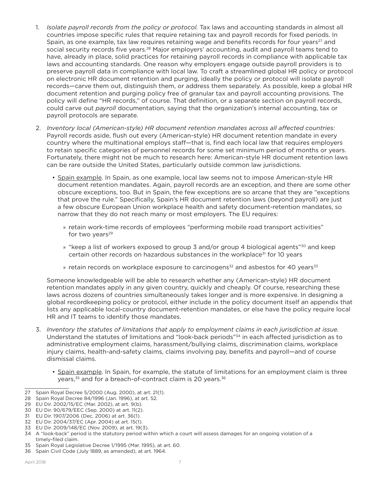- 1. *Isolate payroll records from the policy or protocol.* Tax laws and accounting standards in almost all countries impose specific rules that require retaining tax and payroll records for fixed periods. In Spain, as one example, tax law requires retaining wage and benefits records for four years<sup>27</sup> and social security records five years.<sup>28</sup> Major employers' accounting, audit and payroll teams tend to have, already in place, solid practices for retaining payroll records in compliance with applicable tax laws and accounting standards. One reason why employers engage outside payroll providers is to preserve payroll data in compliance with local law. To craft a streamlined global HR policy or protocol on electronic HR document retention and purging, ideally the policy or protocol will isolate payroll records—carve them out, distinguish them, or address them separately. As possible, keep a global HR document retention and purging policy free of granular tax and payroll accounting provisions. The policy will define "HR records," of course. That definition, or a separate section on payroll records, could carve out *payroll* documentation, saying that the organization's internal accounting, tax or payroll protocols are separate.
- 2. *Inventory local (American-style) HR document retention mandates across all affected countries:* Payroll records aside, flush out every (American-style) HR document retention mandate in every country where the multinational employs staff—that is, find each local law that requires employers to retain specific categories of personnel records for some set minimum period of months or years. Fortunately, there might not be much to research here: American-style HR document retention laws can be rare outside the United States, particularly outside common law jurisdictions.
	- Spain example. In Spain, as one example, local law seems not to impose American-style HR document retention mandates. Again, payroll records are an exception, and there are some other obscure exceptions, too. But in Spain, the few exceptions are so arcane that they are "exceptions that prove the rule." Specifically, Spain's HR document retention laws (beyond payroll) are just a few obscure European Union workplace health and safety document-retention mandates, so narrow that they do not reach many or most employers. The EU requires:
		- » retain work-time records of employees "performing mobile road transport activities" for two years $29$
		- » "keep a list of workers exposed to group 3 and/or group 4 biological agents"<sup>30</sup> and keep certain other records on hazardous substances in the workplace<sup>31</sup> for 10 years
		- » retain records on workplace exposure to carcinogens $^{32}$  and asbestos for 40 years $^{33}$

Someone knowledgeable will be able to research whether any (American-style) HR document retention mandates apply in any given country, quickly and cheaply. Of course, researching these laws across dozens of countries simultaneously takes longer and is more expensive. In designing a global recordkeeping policy or protocol, either include in the policy document itself an appendix that lists any applicable local-country document-retention mandates, or else have the policy require local HR and IT teams to identify those mandates.

- 3. *Inventory the statutes of limitations that apply to employment claims in each jurisdiction at issue.* Understand the statutes of limitations and "look-back periods"34 in each affected jurisdiction as to administrative employment claims, harassment/bullying claims, discrimination claims, workplace injury claims, health-and-safety claims, claims involving pay, benefits and payroll—and of course dismissal claims.
	- Spain example. In Spain, for example, the statute of limitations for an employment claim is three years,<sup>35</sup> and for a breach-of-contract claim is 20 years.<sup>36</sup>
- 27 Spain Royal Decree 5/2000 (Aug. 2000), at art. 21(1).
- 28 Spain Royal Decree 84/1996 (Jan. 1996), at art. 52.

- 30 EU Dir. 90/679/EEC (Sep. 2000) at art. 11(2).
- 31 EU Dir. 1907/2006 (Dec. 2006) at art. 36(1).
- 32 EU Dir. 2004/37/EC (Apr. 2004) at art. 15(1).
- 33 EU Dir. 2009/148/EC (Nov. 2009), at art. 19(3).
- 34 A "look-back" period is the statutory period within which a court will assess damages for an ongoing violation of a timely-filed claim.
- 35 Spain Royal Legislative Decree 1/1995 (Mar. 1995), at art. 60.
- 36 Spain Civil Code (July 1889, as amended), at art. 1964.

<sup>29</sup> EU Dir. 2002/15/EC (Mar. 2002), at art. 9(b).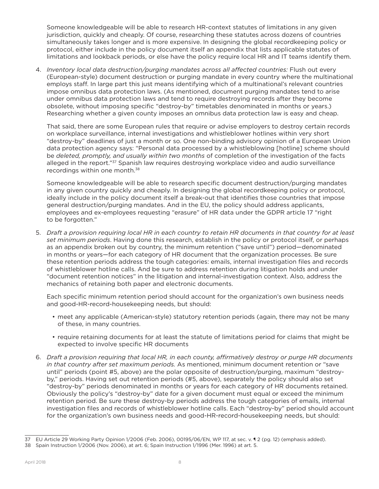Someone knowledgeable will be able to research HR-context statutes of limitations in any given jurisdiction, quickly and cheaply. Of course, researching these statutes across dozens of countries simultaneously takes longer and is more expensive. In designing the global recordkeeping policy or protocol, either include in the policy document itself an appendix that lists applicable statutes of limitations and lookback periods, or else have the policy require local HR and IT teams identify them.

4. *Inventory local data destruction/purging mandates across all affected countries:* Flush out every (European-style) document destruction or purging mandate in every country where the multinational employs staff. In large part this just means identifying which of a multinational's relevant countries impose omnibus data protection laws. (As mentioned, document purging mandates tend to arise under omnibus data protection laws and tend to require destroying records after they become obsolete, without imposing specific "destroy-by" timetables denominated in months or years.) Researching whether a given county imposes an omnibus data protection law is easy and cheap.

That said, there are some European rules that require or advise employers to destroy certain records on workplace surveillance, internal investigations and whistleblower hotlines within very short "destroy-by" deadlines of just a month or so. One non-binding advisory opinion of a European Union data protection agency says: "Personal data processed by a whistleblowing [hotline] scheme should be *deleted, promptly, and usually within two months* of completion of the investigation of the facts alleged in the report."<sup>37</sup> Spanish law requires destroying workplace video and audio surveillance recordings within one month.<sup>38</sup>

Someone knowledgeable will be able to research specific document destruction/purging mandates in any given country quickly and cheaply. In designing the global recordkeeping policy or protocol, ideally include in the policy document itself a break-out that identifies those countries that impose general destruction/purging mandates. And in the EU, the policy should address applicants, employees and ex-employees requesting "erasure" of HR data under the GDPR article 17 "right to be forgotten."

5. *Draft a provision requiring local HR in each country to retain HR documents in that country for at least set minimum periods*. Having done this research, establish in the policy or protocol itself, or perhaps as an appendix broken out by country, the minimum retention ("save until") period—denominated in months or years—for each category of HR document that the organization processes. Be sure these retention periods address the tough categories: emails, internal investigation files and records of whistleblower hotline calls. And be sure to address retention during litigation holds and under "document retention notices" in the litigation and internal-investigation context. Also, address the mechanics of retaining both paper and electronic documents.

Each specific minimum retention period should account for the organization's own business needs and good-HR-record-housekeeping needs, but should:

- meet any applicable (American-style) statutory retention periods (again, there may not be many of these, in many countries.
- require retaining documents for at least the statute of limitations period for claims that might be expected to involve specific HR documents
- 6. *Draft a provision requiring that local HR, in each county, affirmatively destroy or purge HR documents in that country after set maximum periods.* As mentioned, minimum document retention or "save until" periods (point #5, above) are the polar opposite of destruction/purging, maximum "destroyby," periods. Having set out retention periods (#5, above), separately the policy should also set "destroy-by" periods denominated in months or years for each category of HR documents retained. Obviously the policy's "destroy-by" date for a given document must equal or exceed the minimum retention period. Be sure these destroy-by periods address the tough categories of emails, internal investigation files and records of whistleblower hotline calls. Each "destroy-by" period should account for the organization's own business needs and good-HR-record-housekeeping needs, but should:

<sup>37</sup> EU Article 29 Working Party Opinion 1/2006 (Feb. 2006), 00195/06/EN, WP 117, at sec. v. ¶ 2 (pg. 12) (emphasis added).

<sup>38</sup> Spain Instruction 1/2006 (Nov. 2006), at art. 6; Spain Instruction 1/1996 (Mer. 1996) at art. 5.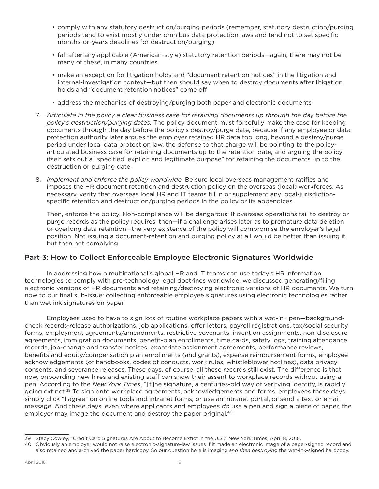- comply with any statutory destruction/purging periods (remember, statutory destruction/purging periods tend to exist mostly under omnibus data protection laws and tend not to set specific months-or-years deadlines for destruction/purging)
- fall after any applicable (American-style) statutory retention periods—again, there may not be many of these, in many countries
- make an exception for litigation holds and "document retention notices" in the litigation and internal-investigation context—but then should say when to destroy documents after litigation holds and "document retention notices" come off
- address the mechanics of destroying/purging both paper and electronic documents
- 7. *Articulate in the policy a clear business case for retaining documents up through the day before the policy's destruction/purging dates.* The policy document must forcefully make the case for keeping documents through the day before the policy's destroy/purge date, because if any employee or data protection authority later argues the employer retained HR data too long, beyond a destroy/purge period under local data protection law, the defense to that charge will be pointing to the policyarticulated business case for retaining documents up to the retention date, and arguing the policy itself sets out a "specified, explicit and legitimate purpose" for retaining the documents up to the destruction or purging date.
- 8. *Implement and enforce the policy worldwide.* Be sure local overseas management ratifies and imposes the HR document retention and destruction policy on the overseas (local) workforces. As necessary, verify that overseas local HR and IT teams fill in or supplement any local-jurisdictionspecific retention and destruction/purging periods in the policy or its appendices.

Then, enforce the policy. Non-compliance will be dangerous: If overseas operations fail to destroy or purge records as the policy requires, then—if a challenge arises later as to premature data deletion or overlong data retention—the very existence of the policy will compromise the employer's legal position. Not issuing a document-retention and purging policy at all would be better than issuing it but then not complying.

### Part 3: How to Collect Enforceable Employee Electronic Signatures Worldwide

In addressing how a multinational's global HR and IT teams can use today's HR information technologies to comply with pre-technology legal doctrines worldwide, we discussed generating/filing electronic versions of HR documents and retaining/destroying electronic versions of HR documents. We turn now to our final sub-issue: collecting enforceable employee signatures using electronic technologies rather than wet ink signatures on paper.

Employees used to have to sign lots of routine workplace papers with a wet-ink pen—backgroundcheck records-release authorizations, job applications, offer letters, payroll registrations, tax/social security forms, employment agreements/amendments, restrictive covenants, invention assignments, non-disclosure agreements, immigration documents, benefit-plan enrollments, time cards, safety logs, training attendance records, job-change and transfer notices, expatriate assignment agreements, performance reviews, benefits and equity/compensation plan enrollments (and grants), expense reimbursement forms, employee acknowledgements (of handbooks, codes of conducts, work rules, whistleblower hotlines), data privacy consents, and severance releases. These days, of course, all these records still exist. The difference is that now, onboarding new hires and existing staff can show their assent to workplace records without using a pen. According to the *New York Times*, "[t]he signature, a centuries-old way of verifying identity, is rapidly going extinct.<sup>39</sup> To sign onto workplace agreements, acknowledgements and forms, employees these days simply click "I agree" on online tools and intranet forms, or use an intranet portal, or send a text or email message. And these days, even where applicants and employees *do* use a pen and sign a piece of paper, the employer may image the document and destroy the paper original.<sup>40</sup>

<sup>39</sup> Stacy Cowley, "Credit Card Signatures Are About to Become Extict in the U.S.," New York Times, April 8, 2018.

<sup>40</sup> Obviously an employer would not raise electronic-signature-law issues if it made an electronic image of a paper-signed record and also retained and archived the paper hardcopy. So our question here is imaging *and then destroying* the wet-ink-signed hardcopy.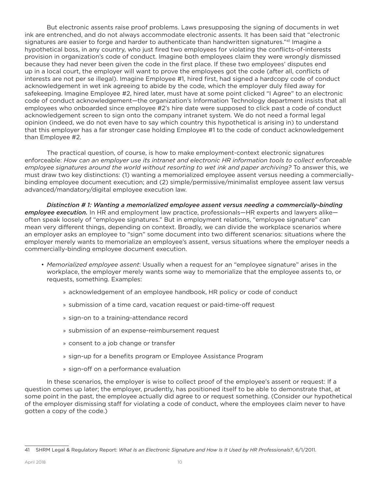But electronic assents raise proof problems. Laws presupposing the signing of documents in wet ink are entrenched, and do not always accommodate electronic assents. It has been said that "electronic signatures are easier to forge and harder to authenticate than handwritten signatures."41 Imagine a hypothetical boss, in any country, who just fired two employees for violating the conflicts-of-interests provision in organization's code of conduct. Imagine both employees claim they were wrongly dismissed because they had never been given the code in the first place. If these two employees' disputes end up in a local court, the employer will want to prove the employees got the code (after all, conflicts of interests are not per se illegal). Imagine Employee #1, hired first, had signed a hardcopy code of conduct acknowledgement in wet ink agreeing to abide by the code, which the employer duly filed away for safekeeping. Imagine Employee #2, hired later, must have at some point clicked "I Agree" to an electronic code of conduct acknowledgement—the organization's Information Technology department insists that all employees who onboarded since employee #2's hire date were supposed to click past a code of conduct acknowledgement screen to sign onto the company intranet system. We do not need a formal legal opinion (indeed, we do not even have to say which country this hypothetical is arising in) to understand that this employer has a far stronger case holding Employee #1 to the code of conduct acknowledgement than Employee #2.

The practical question, of course, is how to make employment-context electronic signatures enforceable: *How can an employer use its intranet and electronic HR information tools to collect enforceable employee signatures around the world without resorting to wet ink and paper archiving?* To answer this, we must draw two key distinctions: (1) wanting a memorialized employee assent versus needing a commerciallybinding employee document execution; and (2) simple/permissive/minimalist employee assent law versus advanced/mandatory/digital employee execution law.

*Distinction # 1: Wanting a memorialized employee assent versus needing a commercially-binding employee execution.* In HR and employment law practice, professionals—HR experts and lawyers alike often speak loosely of "employee signatures." But in employment relations, "employee signature" can mean very different things, depending on context. Broadly, we can divide the workplace scenarios where an employer asks an employee to "sign" some document into two different scenarios: situations where the employer merely wants to memorialize an employee's assent, versus situations where the employer needs a commercially-binding employee document execution.

- *Memorialized employee assent*: Usually when a request for an "employee signature" arises in the workplace, the employer merely wants some way to memorialize that the employee assents to, or requests, something. Examples:
	- » acknowledgement of an employee handbook, HR policy or code of conduct
	- » submission of a time card, vacation request or paid-time-off request
	- » sign-on to a training-attendance record
	- » submission of an expense-reimbursement request
	- » consent to a job change or transfer
	- » sign-up for a benefits program or Employee Assistance Program
	- » sign-off on a performance evaluation

In these scenarios, the employer is wise to collect proof of the employee's assent or request: If a question comes up later; the employer, prudently, has positioned itself to be able to demonstrate that, at some point in the past, the employee actually did agree to or request something. (Consider our hypothetical of the employer dismissing staff for violating a code of conduct, where the employees claim never to have gotten a copy of the code.)

<sup>41</sup> SHRM Legal & Regulatory Report: *What Is an Electronic Signature and How Is It Used by HR Professionals?*, 6/1/2011.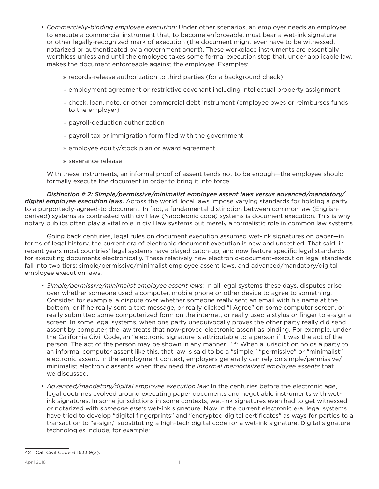- *Commercially-binding employee execution:* Under other scenarios, an employer needs an employee to execute a commercial instrument that, to become enforceable, must bear a wet-ink signature or other legally-recognized mark of execution (the document might even have to be witnessed, notarized or authenticated by a government agent). These workplace instruments are essentially worthless unless and until the employee takes some formal execution step that, under applicable law, makes the document enforceable against the employee. Examples:
	- » records-release authorization to third parties (for a background check)
	- » employment agreement or restrictive covenant including intellectual property assignment
	- » check, loan, note, or other commercial debt instrument (employee owes or reimburses funds to the employer)
	- » payroll-deduction authorization
	- » payroll tax or immigration form filed with the government
	- » employee equity/stock plan or award agreement
	- » severance release

With these instruments, an informal proof of assent tends not to be enough—the employee should formally execute the document in order to bring it into force.

*Distinction # 2: Simple/permissive/minimalist employee assent laws versus advanced/mandatory/ digital employee execution laws.* Across the world, local laws impose varying standards for holding a party to a purportedly-agreed-to document. In fact, a fundamental distinction between common law (Englishderived) systems as contrasted with civil law (Napoleonic code) systems is document execution. This is why notary publics often play a vital role in civil law systems but merely a formalistic role in common law systems.

Going back centuries, legal rules on document execution assumed wet-ink signatures on paper—in terms of legal history, the current era of electronic document execution is new and unsettled. That said, in recent years most countries' legal systems have played catch-up, and now feature specific legal standards for executing documents electronically. These relatively new electronic-document-execution legal standards fall into two tiers: simple/permissive/minimalist employee assent laws, and advanced/mandatory/digital employee execution laws.

- *Simple/permissive/minimalist employee assent laws:* In all legal systems these days, disputes arise over whether someone used a computer, mobile phone or other device to agree to something. Consider, for example, a dispute over whether someone really sent an email with his name at the bottom, or if he really sent a text message, or really clicked "I Agree" on some computer screen, or really submitted some computerized form on the internet, or really used a stylus or finger to e-sign a screen. In some legal systems, when one party unequivocally proves the other party really did send assent by computer, the law treats that now-proved electronic assent as binding. For example, under the California Civil Code, an "electronic signature is attributable to a person if it was the act of the person. The act of the person may be shown in any manner...."<sup>42</sup> When a jurisdiction holds a party to an informal computer assent like this, that law is said to be a "simple," "permissive" or "minimalist" electronic assent. In the employment context, employers generally can rely on simple/permissive/ minimalist electronic assents when they need the *informal memorialized employee assents* that we discussed.
- *Advanced/mandatory/digital employee execution law:* In the centuries before the electronic age, legal doctrines evolved around executing paper documents and negotiable instruments with wetink signatures. In some jurisdictions in some contexts, wet-ink signatures even had to get witnessed or notarized with *someone else's* wet-ink signature. Now in the current electronic era, legal systems have tried to develop "digital fingerprints" and "encrypted digital certificates" as ways for parties to a transaction to "e-sign," substituting a high-tech digital code for a wet-ink signature. Digital signature technologies include, for example:

<sup>42</sup> Cal. Civil Code § 1633.9(a).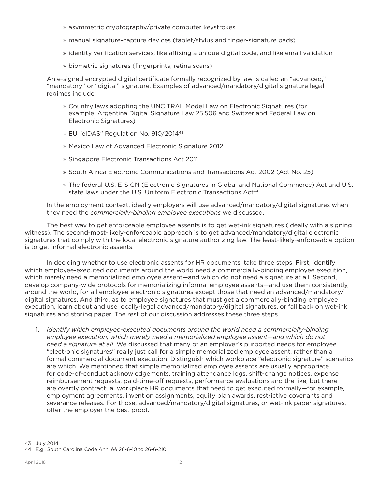- » asymmetric cryptography/private computer keystrokes
- » manual signature-capture devices (tablet/stylus and finger-signature pads)
- » identity verification services, like affixing a unique digital code, and like email validation
- » biometric signatures (fingerprints, retina scans)

An e-signed encrypted digital certificate formally recognized by law is called an "advanced," "mandatory" or "digital" signature. Examples of advanced/mandatory/digital signature legal regimes include:

- » Country laws adopting the UNCITRAL Model Law on Electronic Signatures (for example, Argentina Digital Signature Law 25,506 and Switzerland Federal Law on Electronic Signatures)
- » EU "eIDAS" Regulation No. 910/201443
- » Mexico Law of Advanced Electronic Signature 2012
- » Singapore Electronic Transactions Act 2011
- » South Africa Electronic Communications and Transactions Act 2002 (Act No. 25)
- » The federal U.S. E-SIGN (Electronic Signatures in Global and National Commerce) Act and U.S. state laws under the U.S. Uniform Electronic Transactions Act<sup>44</sup>

In the employment context, ideally employers will use advanced/mandatory/digital signatures when they need the *commercially-binding employee executions* we discussed.

The best way to get enforceable employee assents is to get wet-ink signatures (ideally with a signing witness). The second-most-likely-enforceable approach is to get advanced/mandatory/digital electronic signatures that comply with the local electronic signature authorizing law. The least-likely-enforceable option is to get informal electronic assents.

In deciding whether to use electronic assents for HR documents, take three steps: First, identify which employee-executed documents around the world need a commercially-binding employee execution, which merely need a memorialized employee assent—and which do not need a signature at all. Second, develop company-wide protocols for memorializing informal employee assents—and use them consistently, around the world, for all employee electronic signatures except those that need an advanced/mandatory/ digital signatures. And third, as to employee signatures that must get a commercially-binding employee execution, learn about and use locally-legal advanced/mandatory/digital signatures, or fall back on wet-ink signatures and storing paper. The rest of our discussion addresses these three steps.

1. *Identify which employee-executed documents around the world need a commercially-binding employee execution, which merely need a memorialized employee assent—and which do not need a signature at all.* We discussed that many of an employer's purported needs for employee "electronic signatures" really just call for a simple memorialized employee assent, rather than a formal commercial document execution. Distinguish which workplace "electronic signature" scenarios are which. We mentioned that simple memorialized employee assents are usually appropriate for code-of-conduct acknowledgements, training attendance logs, shift-change notices, expense reimbursement requests, paid-time-off requests, performance evaluations and the like, but there are overtly contractual workplace HR documents that need to get executed formally—for example, employment agreements, invention assignments, equity plan awards, restrictive covenants and severance releases. For those, advanced/mandatory/digital signatures, or wet-ink paper signatures, offer the employer the best proof.

<sup>43</sup> July 2014.

<sup>44</sup> E.g., South Carolina Code Ann. §§ 26-6-10 to 26-6-210.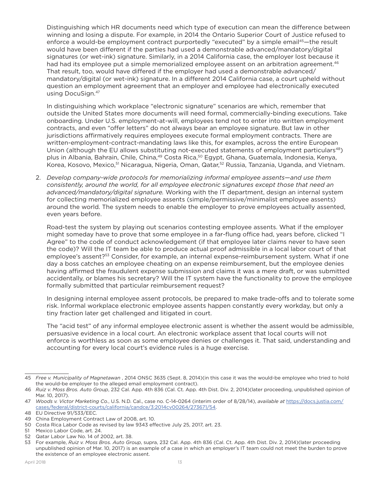Distinguishing which HR documents need which type of execution can mean the difference between winning and losing a dispute. For example, in 2014 the Ontario Superior Court of Justice refused to enforce a would-be employment contract purportedly "executed" by a simple email<sup>45</sup>—the result would have been different if the parties had used a demonstrable advanced/mandatory/digital signatures (or wet-ink) signature. Similarly, in a 2014 California case, the employer lost because it had had its employee put a simple memorialized employee assent on an arbitration agreement.<sup>46</sup> That result, too, would have differed if the employer had used a demonstrable advanced/ mandatory/digital (or wet-ink) signature. In a different 2014 California case, a court upheld without question an employment agreement that an employer and employee had electronically executed using DocuSign.47

In distinguishing which workplace "electronic signature" scenarios are which, remember that outside the United States more documents will need formal, commercially-binding executions. Take onboarding. Under U.S. employment-at-will, employees tend not to enter into written employment contracts, and even "offer letters" do not always bear an employee signature. But law in other jurisdictions affirmatively requires employees execute formal employment contracts. There are written-employment-contract-mandating laws like this, for examples, across the entire European Union (although the EU allows substituting not-executed statements of employment particulars $48$ ) plus in Albania, Bahrain, Chile, China,<sup>49</sup> Costa Rica,<sup>50</sup> Egypt, Ghana, Guatemala, Indonesia, Kenya, Korea, Kosovo, Mexico,<sup>51</sup> Nicaragua, Nigeria, Oman, Qatar,<sup>52</sup> Russia, Tanzania, Uganda, and Vietnam.

2. *Develop company-wide protocols for memorializing informal employee assents—and use them consistently, around the world, for all employee electronic signatures except those that need an advanced/mandatory/digital signature.* Working with the IT department, design an internal system for collecting memorialized employee assents (simple/permissive/minimalist employee assents) around the world. The system needs to enable the employer to prove employees actually assented, even years before.

Road-test the system by playing out scenarios contesting employee assents. What if the employer might someday have to prove that some employee in a far-flung office had, years before, clicked "I Agree" to the code of conduct acknowledgement (if that employee later claims never to have seen the code)? Will the IT team be able to produce actual proof admissible in a local labor court of that employee's assent?<sup>53</sup> Consider, for example, an internal expense-reimbursement system. What if one day a boss catches an employee cheating on an expense reimbursement, but the employee denies having affirmed the fraudulent expense submission and claims it was a mere draft, or was submitted accidentally, or blames his secretary? Will the IT system have the functionality to prove the employee formally submitted that particular reimbursement request?

In designing internal employee assent protocols, be prepared to make trade-offs and to tolerate some risk. Informal workplace electronic employee assents happen constantly every workday, but only a tiny fraction later get challenged and litigated in court.

The "acid test" of any informal employee electronic assent is whether the assent would be admissible, persuasive evidence in a local court. An electronic workplace assent that local courts will not enforce is worthless as soon as some employee denies or challenges it. That said, understanding and accounting for every local court's evidence rules is a huge exercise.

<sup>45</sup> *Free v. Municipality of Magnetawan* , 2014 ONSC 3635 (Sept. 8, 2014)(in this case it was the would-be employee who tried to hold the would-be employer to the alleged email employment contract).

<sup>46</sup> *Ruiz v. Moss Bros. Auto Group*, 232 Cal. App. 4th 836 (Cal. Ct. App. 4th Dist. Div. 2, 2014)(later proceeding, unpublished opinion of Mar. 10, 2017).

<sup>47</sup> *Woods v. Victor Marketing Co.*, U.S. N.D. Cal., case no. C-14-0264 (interim order of 8/28/14), *available at* https://docs.justia.com/ cases/federal/district-courts/california/candce/3:2014cv00264/273671/54.

<sup>48</sup> EU Directive 91/533/EEC.

<sup>49</sup> China Employment Contract Law of 2008, art. 10.

<sup>50</sup> Costa Rica Labor Code as revised by law 9343 effective July 25, 2017, art. 23.

<sup>51</sup> Mexico Labor Code, art. 24.

<sup>52</sup> Qatar Labor Law No. 14 of 2002, art. 38.

<sup>53</sup> For example, *Ruiz v. Moss Bros. Auto Group*, supra, 232 Cal. App. 4th 836 (Cal. Ct. App. 4th Dist. Div. 2, 2014)(later proceeding unpublished opinion of Mar. 10, 2017) is an example of a case in which an employer's IT team could not meet the burden to prove the existence of an employee electronic assent.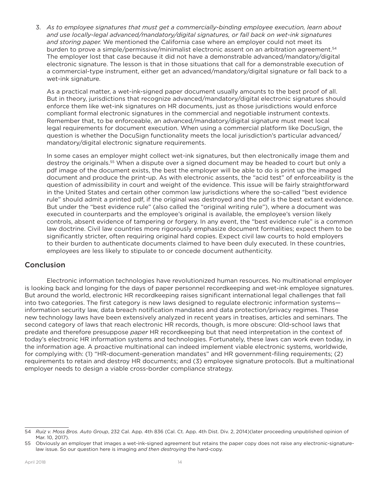3. *As to employee signatures that must get a commercially-binding employee execution, learn about and use locally-legal advanced/mandatory/digital signatures, or fall back on wet-ink signatures and storing paper.* We mentioned the California case where an employer could not meet its burden to prove a simple/permissive/minimalist electronic assent on an arbitration agreement.<sup>54</sup> The employer lost that case because it did not have a demonstrable advanced/mandatory/digital electronic signature. The lesson is that in those situations that call for a demonstrable execution of a commercial-type instrument, either get an advanced/mandatory/digital signature or fall back to a wet-ink signature.

As a practical matter, a wet-ink-signed paper document usually amounts to the best proof of all. But in theory, jurisdictions that recognize advanced/mandatory/digital electronic signatures should enforce them like wet-ink signatures on HR documents, just as those jurisdictions would enforce compliant formal electronic signatures in the commercial and negotiable instrument contexts. Remember that, to be enforceable, an advanced/mandatory/digital signature must meet local legal requirements for document execution. When using a commercial platform like DocuSign, the question is whether the DocuSign functionality meets the local jurisdiction's particular advanced/ mandatory/digital electronic signature requirements.

In some cases an employer might collect wet-ink signatures, but then electronically image them and destroy the originals.<sup>55</sup> When a dispute over a signed document may be headed to court but only a pdf image of the document exists, the best the employer will be able to do is print up the imaged document and produce the print-up. As with electronic assents, the "acid test" of enforceability is the question of admissibility in court and weight of the evidence. This issue will be fairly straightforward in the United States and certain other common law jurisdictions where the so-called "best evidence rule" should admit a printed pdf, if the original was destroyed and the pdf is the best extant evidence. But under the "best evidence rule" (also called the "original writing rule"), where a document was executed in counterparts and the employee's original is available, the employee's version likely controls, absent evidence of tampering or forgery. In any event, the "best evidence rule" is a common law doctrine. Civil law countries more rigorously emphasize document formalities; expect them to be significantly stricter, often requiring original hard copies. Expect civil law courts to hold employers to their burden to authenticate documents claimed to have been duly executed. In these countries, employees are less likely to stipulate to or concede document authenticity.

## **Conclusion**

Electronic information technologies have revolutionized human resources. No multinational employer is looking back and longing for the days of paper personnel recordkeeping and wet-ink employee signatures. But around the world, electronic HR recordkeeping raises significant international legal challenges that fall into two categories. The first category is new laws designed to regulate electronic information systems information security law, data breach notification mandates and data protection/privacy regimes. These new technology laws have been extensively analyzed in recent years in treatises, articles and seminars. The second category of laws that reach electronic HR records, though, is more obscure: Old-school laws that predate and therefore presuppose *paper* HR recordkeeping but that need interpretation in the context of today's electronic HR information systems and technologies. Fortunately, these laws can work even today, in the information age. A proactive multinational can indeed implement viable electronic systems, worldwide, for complying with: (1) "HR-document-generation mandates" and HR government-filing requirements; (2) requirements to retain and destroy HR documents; and (3) employee signature protocols. But a multinational employer needs to design a viable cross-border compliance strategy.

<sup>54</sup> *Ruiz v. Moss Bros. Auto Group*, 232 Cal. App. 4th 836 (Cal. Ct. App. 4th Dist. Div. 2, 2014)(later proceeding unpublished opinion of Mar. 10, 2017).

<sup>55</sup> Obviously an employer that images a wet-ink-signed agreement but retains the paper copy does not raise any electronic-signaturelaw issue. So our question here is imaging *and then destroying* the hard-copy.